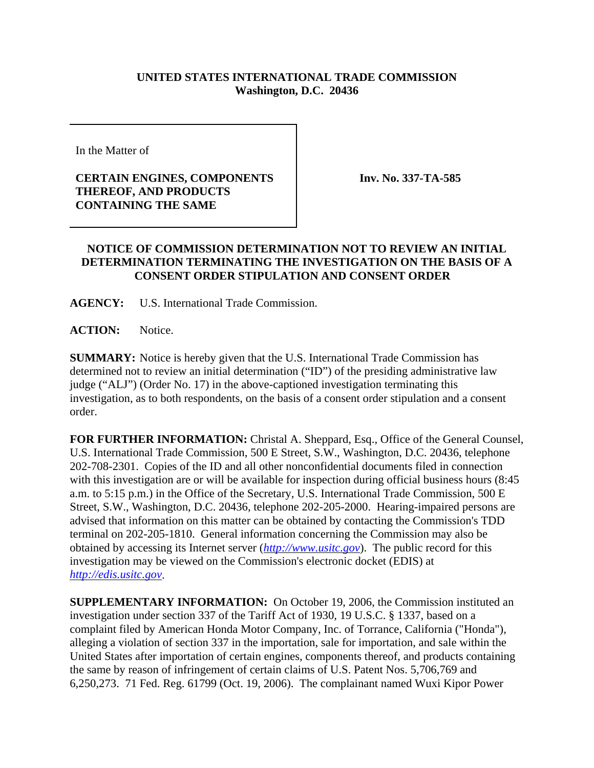## **UNITED STATES INTERNATIONAL TRADE COMMISSION Washington, D.C. 20436**

In the Matter of

## **CERTAIN ENGINES, COMPONENTS THEREOF, AND PRODUCTS CONTAINING THE SAME**

**Inv. No. 337-TA-585**

## **NOTICE OF COMMISSION DETERMINATION NOT TO REVIEW AN INITIAL DETERMINATION TERMINATING THE INVESTIGATION ON THE BASIS OF A CONSENT ORDER STIPULATION AND CONSENT ORDER**

**AGENCY:** U.S. International Trade Commission.

**ACTION:** Notice.

**SUMMARY:** Notice is hereby given that the U.S. International Trade Commission has determined not to review an initial determination ("ID") of the presiding administrative law judge ("ALJ") (Order No. 17) in the above-captioned investigation terminating this investigation, as to both respondents, on the basis of a consent order stipulation and a consent order.

**FOR FURTHER INFORMATION:** Christal A. Sheppard, Esq., Office of the General Counsel, U.S. International Trade Commission, 500 E Street, S.W., Washington, D.C. 20436, telephone 202-708-2301. Copies of the ID and all other nonconfidential documents filed in connection with this investigation are or will be available for inspection during official business hours (8:45 a.m. to 5:15 p.m.) in the Office of the Secretary, U.S. International Trade Commission, 500 E Street, S.W., Washington, D.C. 20436, telephone 202-205-2000. Hearing-impaired persons are advised that information on this matter can be obtained by contacting the Commission's TDD terminal on 202-205-1810. General information concerning the Commission may also be obtained by accessing its Internet server (*http://www.usitc.gov*). The public record for this investigation may be viewed on the Commission's electronic docket (EDIS) at *http://edis.usitc.gov*.

**SUPPLEMENTARY INFORMATION:** On October 19, 2006, the Commission instituted an investigation under section 337 of the Tariff Act of 1930, 19 U.S.C. § 1337, based on a complaint filed by American Honda Motor Company, Inc. of Torrance, California ("Honda"), alleging a violation of section 337 in the importation, sale for importation, and sale within the United States after importation of certain engines, components thereof, and products containing the same by reason of infringement of certain claims of U.S. Patent Nos. 5,706,769 and 6,250,273. 71 Fed. Reg. 61799 (Oct. 19, 2006). The complainant named Wuxi Kipor Power